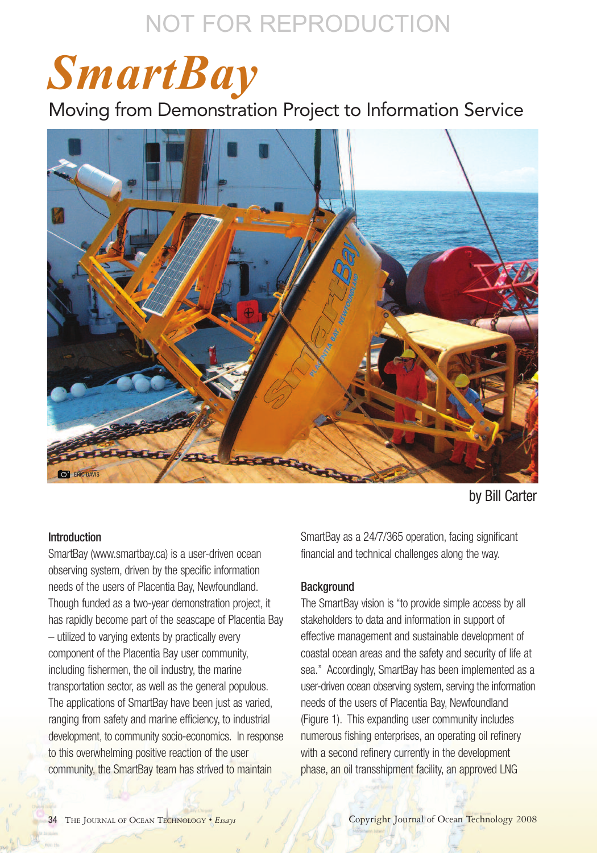# *SmartBay*

Moving from Demonstration Project to Information Service



by Bill Carter

#### **Introduction**

SmartBay (www.smartbay.ca) is a user-driven ocean observing system, driven by the specific information needs of the users of Placentia Bay, Newfoundland. Though funded as a two-year demonstration project, it has rapidly become part of the seascape of Placentia Bay – utilized to varying extents by practically every component of the Placentia Bay user community, including fishermen, the oil industry, the marine transportation sector, as well as the general populous. The applications of SmartBay have been just as varied, ranging from safety and marine efficiency, to industrial development, to community socio-economics. In response to this overwhelming positive reaction of the user community, the SmartBay team has strived to maintain

SmartBay as a 24/7/365 operation, facing significant financial and technical challenges along the way.

#### **Background**

The SmartBay vision is "to provide simple access by all stakeholders to data and information in support of effective management and sustainable development of coastal ocean areas and the safety and security of life at sea." Accordingly, SmartBay has been implemented as a user-driven ocean observing system, serving the information needs of the users of Placentia Bay, Newfoundland (Figure 1). This expanding user community includes numerous fishing enterprises, an operating oil refinery with a second refinery currently in the development phase, an oil transshipment facility, an approved LNG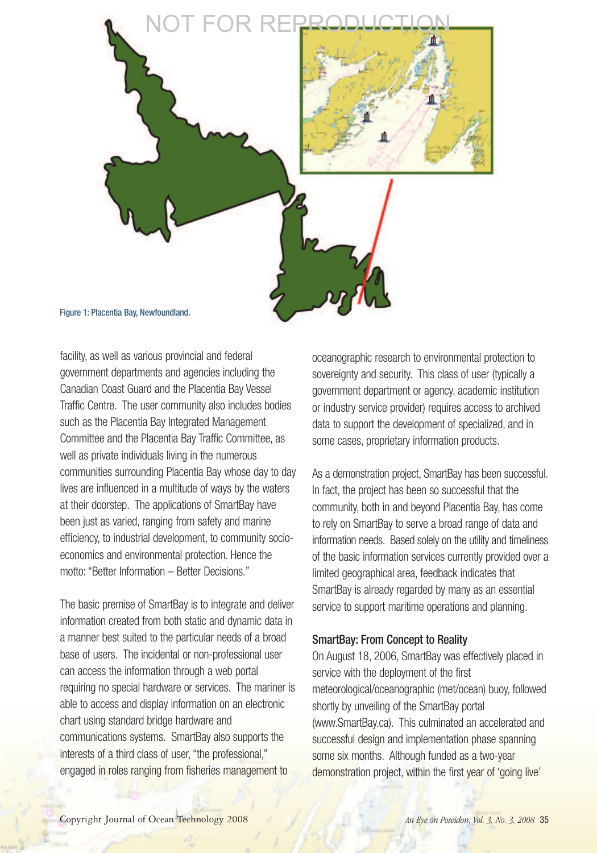

35

facility, as well as various provincial and federal government departments and agencies including the Canadian Coast Guard and the Placentia Bay Vessel Traffic Centre. The user community also includes bodies such as the Placentia Bay Integrated Management Committee and the Placentia Bay Traffic Committee, as well as private individuals living in the numerous communities surrounding Placentia Bay whose day to day lives are influenced in a multitude of ways by the waters at their doorstep. The applications of SmartBay have been just as varied, ranging from safety and marine efficiency, to industrial development, to community socioeconomics and environmental protection. Hence the motto:"Better Information – Better Decisions."

The basic premise of SmartBay is to integrate and deliver information created from both static and dynamic data in a manner best suited to the particular needs of a broad base of users. The incidental or non-professional user can access the information through a web portal requiring no special hardware or services. The mariner is able to access and display information on an electronic chart using standard bridge hardware and communications systems. SmartBay also supports the interests of a third class of user, "the professional," engaged in roles ranging from fisheries management to

oceanographic research to environmental protection to sovereignty and security. This class of user (typically a government department or agency, academic institution or industry service provider) requires access to archived data to support the development of specialized, and in some cases, proprietary information products.

As a demonstration project, SmartBay has been successful. In fact, the project has been so successful that the community, both in and beyond Placentia Bay, has come to rely on SmartBay to serve a broad range of data and information needs. Based solely on the utility and timeliness of the basic information services currently provided over a limited geographical area, feedback indicates that SmartBay is already regarded by many as an essential service to support maritime operations and planning.

#### SmartBay: From Concept to Reality

On August 18, 2006, SmartBay was effectively placed in service with the deployment of the first meteorological/oceanographic (met/ocean) buoy, followed shortly by unveiling of the SmartBay portal (www.SmartBay.ca). This culminated an accelerated and successful design and implementation phase spanning some six months. Although funded as a two-year demonstration project, within the first year of 'going live'

THE JOURNAL OF OCEAN TECHNOLOGY • *Essays*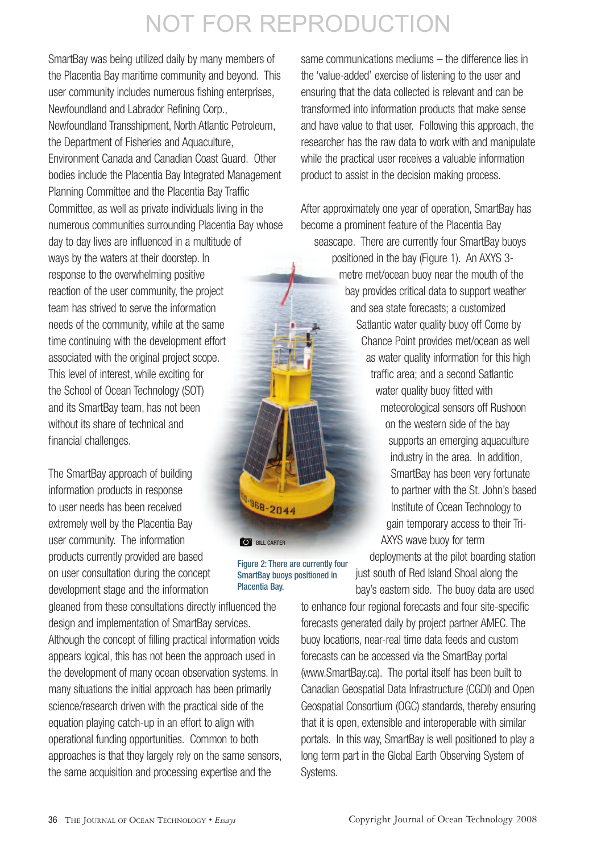SmartBay was being utilized daily by many members of the Placentia Bay maritime community and beyond. This user community includes numerous fishing enterprises, Newfoundland and Labrador Refining Corp., Newfoundland Transshipment, North Atlantic Petroleum, the Department of Fisheries and Aquaculture, Environment Canada and Canadian Coast Guard. Other bodies include the Placentia Bay Integrated Management Planning Committee and the Placentia Bay Traffic Committee, as well as private individuals living in the numerous communities surrounding Placentia Bay whose day to day lives are influenced in a multitude of ways by the waters at their doorstep. In response to the overwhelming positive reaction of the user community, the project team has strived to serve the information needs of the community, while at the same time continuing with the development effort associated with the original project scope. This level of interest, while exciting for the School of Ocean Technology (SOT) and its SmartBay team, has not been without its share of technical and financial challenges.

The SmartBay approach of building information products in response to user needs has been received extremely well by the Placentia Bay user community. The information products currently provided are based on user consultation during the concept development stage and the information

gleaned from these consultations directly influenced the design and implementation of SmartBay services. Although the concept of filling practical information voids appears logical, this has not been the approach used in the development of many ocean observation systems. In many situations the initial approach has been primarily science/research driven with the practical side of the equation playing catch-up in an effort to align with operational funding opportunities. Common to both approaches is that they largely rely on the same sensors, the same acquisition and processing expertise and the

Placentia Bay.

**BILL CARTER** 

 $968 - 2044$ 

same communications mediums – the difference lies in the 'value-added' exercise of listening to the user and ensuring that the data collected is relevant and can be transformed into information products that make sense and have value to that user. Following this approach, the researcher has the raw data to work with and manipulate while the practical user receives a valuable information product to assist in the decision making process.

After approximately one year of operation, SmartBay has become a prominent feature of the Placentia Bay seascape. There are currently four SmartBay buoys positioned in the bay (Figure 1). An AXYS 3 metre met/ocean buoy near the mouth of the bay provides critical data to support weather and sea state forecasts; a customized Satlantic water quality buoy off Come by Chance Point provides met/ocean as well as water quality information for this high traffic area; and a second Satlantic water quality buoy fitted with meteorological sensors off Rushoon on the western side of the bay supports an emerging aquaculture industry in the area. In addition, SmartBay has been very fortunate to partner with the St. John's based Institute of Ocean Technology to gain temporary access to their Tri-AXYS wave buoy for term deployments at the pilot boarding station Figure 2: There are currently four SmartBay buoys positioned in

just south of Red Island Shoal along the bay's eastern side. The buoy data are used

to enhance four regional forecasts and four site-specific forecasts generated daily by project partner AMEC. The buoy locations, near-real time data feeds and custom forecasts can be accessed via the SmartBay portal (www.SmartBay.ca). The portal itself has been built to Canadian Geospatial Data Infrastructure (CGDI) and Open Geospatial Consortium (OGC) standards, thereby ensuring that it is open, extensible and interoperable with similar portals. In this way, SmartBay is well positioned to play a long term part in the Global Earth Observing System of Systems.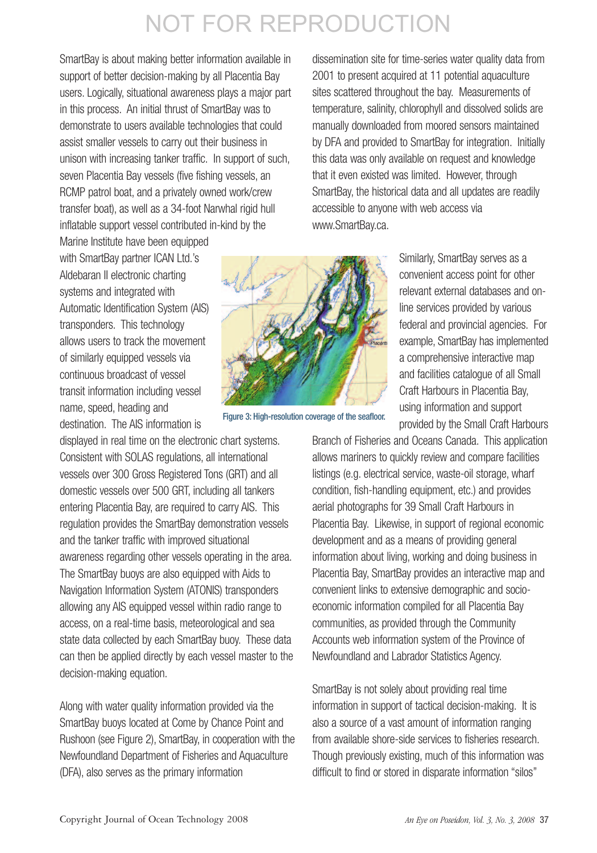SmartBay is about making better information available in support of better decision-making by all Placentia Bay users. Logically, situational awareness plays a major part in this process. An initial thrust of SmartBay was to demonstrate to users available technologies that could assist smaller vessels to carry out their business in unison with increasing tanker traffic. In support of such, seven Placentia Bay vessels (five fishing vessels, an RCMP patrol boat, and a privately owned work/crew transfer boat), as well as a 34-foot Narwhal rigid hull inflatable support vessel contributed in-kind by the

dissemination site for time-series water quality data from 2001 to present acquired at 11 potential aquaculture sites scattered throughout the bay. Measurements of temperature, salinity, chlorophyll and dissolved solids are manually downloaded from moored sensors maintained by DFA and provided to SmartBay for integration. Initially this data was only available on request and knowledge that it even existed was limited. However, through SmartBay, the historical data and all updates are readily accessible to anyone with web access via www.SmartBay.ca.

Marine Institute have been equipped with SmartBay partner ICAN Ltd.'s Aldebaran II electronic charting systems and integrated with Automatic Identification System (AIS) transponders. This technology allows users to track the movement of similarly equipped vessels via continuous broadcast of vessel transit information including vessel name, speed, heading and destination. The AIS information is

displayed in real time on the electronic chart systems. Consistent with SOLAS regulations, all international vessels over 300 Gross Registered Tons (GRT) and all domestic vessels over 500 GRT, including all tankers entering Placentia Bay, are required to carry AIS. This regulation provides the SmartBay demonstration vessels and the tanker traffic with improved situational awareness regarding other vessels operating in the area. The SmartBay buoys are also equipped with Aids to Navigation Information System (ATONIS) transponders allowing any AIS equipped vessel within radio range to access, on a real-time basis, meteorological and sea state data collected by each SmartBay buoy. These data can then be applied directly by each vessel master to the decision-making equation.

Along with water quality information provided via the SmartBay buoys located at Come by Chance Point and Rushoon (see Figure 2), SmartBay, in cooperation with the Newfoundland Department of Fisheries and Aquaculture (DFA), also serves as the primary information



Figure 3: High-resolution coverage of the seafloor.

Similarly, SmartBay serves as a convenient access point for other relevant external databases and online services provided by various federal and provincial agencies. For example, SmartBay has implemented a comprehensive interactive map and facilities catalogue of all Small Craft Harbours in Placentia Bay, using information and support provided by the Small Craft Harbours

Branch of Fisheries and Oceans Canada. This application allows mariners to quickly review and compare facilities listings (e.g. electrical service, waste-oil storage, wharf condition, fish-handling equipment, etc.) and provides aerial photographs for 39 Small Craft Harbours in Placentia Bay. Likewise, in support of regional economic development and as a means of providing general information about living, working and doing business in Placentia Bay, SmartBay provides an interactive map and convenient links to extensive demographic and socioeconomic information compiled for all Placentia Bay communities, as provided through the Community Accounts web information system of the Province of Newfoundland and Labrador Statistics Agency.

SmartBay is not solely about providing real time information in support of tactical decision-making. It is also a source of a vast amount of information ranging from available shore-side services to fisheries research. Though previously existing, much of this information was difficult to find or stored in disparate information "silos"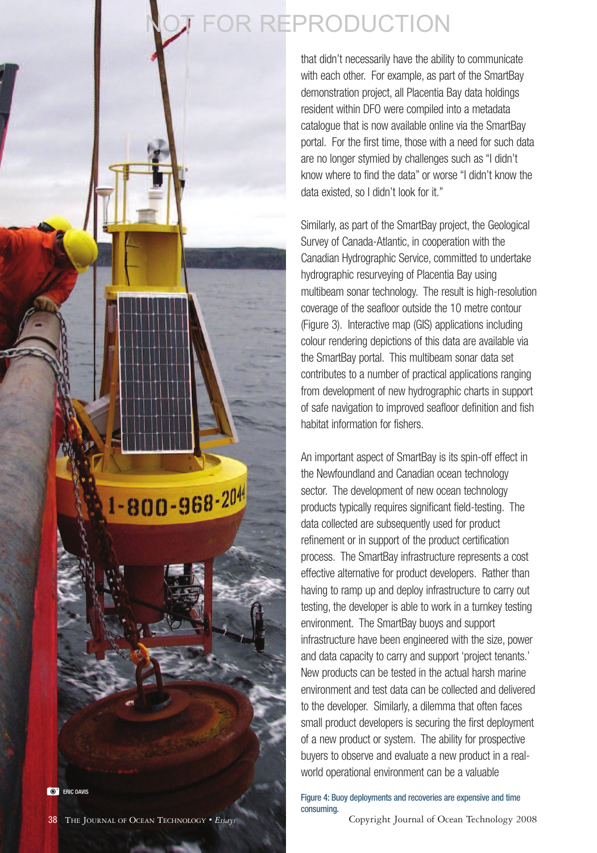# REPRODUCTION

that didn't necessarily have the ability to communicate with each other. For example, as part of the SmartBay demonstration project, all Placentia Bay data holdings resident within DFO were compiled into a metadata catalogue that is now available online via the SmartBay portal. For the first time, those with a need for such data are no longer stymied by challenges such as "I didn't know where to find the data" or worse "I didn't know the data existed, so I didn't look for it."

Similarly, as part of the SmartBay project, the Geological Survey of Canada-Atlantic, in cooperation with the Canadian Hydrographic Service, committed to undertake hydrographic resurveying of Placentia Bay using multibeam sonar technology. The result is high-resolution coverage of the seafloor outside the 10 metre contour (Figure 3). Interactive map (GIS) applications including colour rendering depictions of this data are available via the SmartBay portal. This multibeam sonar data set contributes to a number of practical applications ranging from development of new hydrographic charts in support of safe navigation to improved seafloor definition and fish habitat information for fishers.

An important aspect of SmartBay is its spin-off effect in the Newfoundland and Canadian ocean technology sector. The development of new ocean technology products typically requires significant field-testing. The data collected are subsequently used for product refinement or in support of the product certification process. The SmartBay infrastructure represents a cost effective alternative for product developers. Rather than having to ramp up and deploy infrastructure to carry out testing, the developer is able to work in a turnkey testing environment. The SmartBay buoys and support infrastructure have been engineered with the size, power and data capacity to carry and support 'project tenants.' New products can be tested in the actual harsh marine environment and test data can be collected and delivered to the developer. Similarly, a dilemma that often faces small product developers is securing the first deployment of a new product or system. The ability for prospective buyers to observe and evaluate a new product in a realworld operational environment can be a valuable

Figure 4: Buoy deployments and recoveries are expensive and time consuming.

 $1 - 800 - 968 - 204$ 

**C** ERIC DAVIS

Copyright Journal of Ocean Technology 2008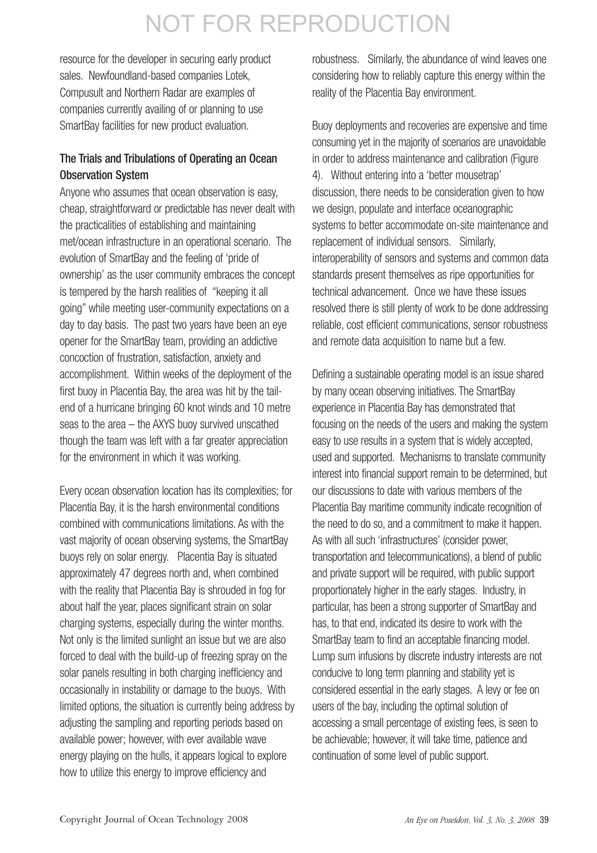resource for the developer in securing early product sales. Newfoundland-based companies Lotek, Compusult and Northern Radar are examples of companies currently availing of or planning to use SmartBay facilities for new product evaluation.

#### The Trials and Tribulations of Operating an Ocean Observation System

Anyone who assumes that ocean observation is easy, cheap, straightforward or predictable has never dealt with the practicalities of establishing and maintaining met/ocean infrastructure in an operational scenario. The evolution of SmartBay and the feeling of 'pride of ownership' as the user community embraces the concept is tempered by the harsh realities of "keeping it all going" while meeting user-community expectations on a day to day basis. The past two years have been an eye opener for the SmartBay team, providing an addictive concoction of frustration, satisfaction, anxiety and accomplishment. Within weeks of the deployment of the first buoy in Placentia Bay, the area was hit by the tailend of a hurricane bringing 60 knot winds and 10 metre seas to the area – the AXYS buoy survived unscathed though the team was left with a far greater appreciation for the environment in which it was working.

Every ocean observation location has its complexities; for Placentia Bay, it is the harsh environmental conditions combined with communications limitations. As with the vast majority of ocean observing systems, the SmartBay buoys rely on solar energy. Placentia Bay is situated approximately 47 degrees north and, when combined with the reality that Placentia Bay is shrouded in fog for about half the year, places significant strain on solar charging systems, especially during the winter months. Not only is the limited sunlight an issue but we are also forced to deal with the build-up of freezing spray on the solar panels resulting in both charging inefficiency and occasionally in instability or damage to the buoys. With limited options, the situation is currently being address by adjusting the sampling and reporting periods based on available power; however, with ever available wave energy playing on the hulls, it appears logical to explore how to utilize this energy to improve efficiency and

robustness. Similarly, the abundance of wind leaves one considering how to reliably capture this energy within the reality of the Placentia Bay environment.

Buoy deployments and recoveries are expensive and time consuming yet in the majority of scenarios are unavoidable in order to address maintenance and calibration (Figure 4). Without entering into a 'better mousetrap' discussion, there needs to be consideration given to how we design, populate and interface oceanographic systems to better accommodate on-site maintenance and replacement of individual sensors. Similarly, interoperability of sensors and systems and common data standards present themselves as ripe opportunities for technical advancement. Once we have these issues resolved there is still plenty of work to be done addressing reliable, cost efficient communications, sensor robustness and remote data acquisition to name but a few.

Defining a sustainable operating model is an issue shared by many ocean observing initiatives. The SmartBay experience in Placentia Bay has demonstrated that focusing on the needs of the users and making the system easy to use results in a system that is widely accepted, used and supported. Mechanisms to translate community interest into financial support remain to be determined, but our discussions to date with various members of the Placentia Bay maritime community indicate recognition of the need to do so, and a commitment to make it happen. As with all such 'infrastructures' (consider power, transportation and telecommunications), a blend of public and private support will be required, with public support proportionately higher in the early stages. Industry, in particular, has been a strong supporter of SmartBay and has, to that end, indicated its desire to work with the SmartBay team to find an acceptable financing model. Lump sum infusions by discrete industry interests are not conducive to long term planning and stability yet is considered essential in the early stages. A levy or fee on users of the bay, including the optimal solution of accessing a small percentage of existing fees, is seen to be achievable; however, it will take time, patience and continuation of some level of public support.